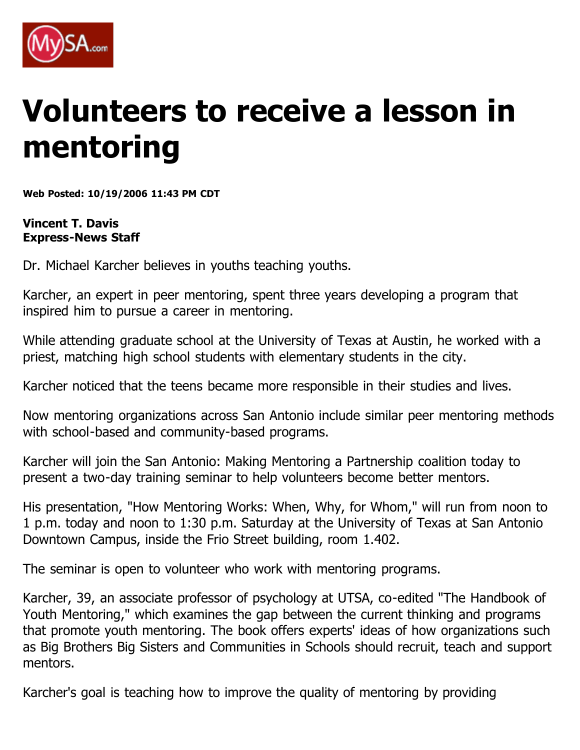

## **Volunteers to receive a lesson in mentoring**

**Web Posted: 10/19/2006 11:43 PM CDT**

**Vincent T. Davis Express-News Staff**

Dr. Michael Karcher believes in youths teaching youths.

Karcher, an expert in peer mentoring, spent three years developing a program that inspired him to pursue a career in mentoring.

While attending graduate school at the University of Texas at Austin, he worked with a priest, matching high school students with elementary students in the city.

Karcher noticed that the teens became more responsible in their studies and lives.

Now mentoring organizations across San Antonio include similar peer mentoring methods with school-based and community-based programs.

Karcher will join the San Antonio: Making Mentoring a Partnership coalition today to present a two-day training seminar to help volunteers become better mentors.

His presentation, "How Mentoring Works: When, Why, for Whom," will run from noon to 1 p.m. today and noon to 1:30 p.m. Saturday at the University of Texas at San Antonio Downtown Campus, inside the Frio Street building, room 1.402.

The seminar is open to volunteer who work with mentoring programs.

Karcher, 39, an associate professor of psychology at UTSA, co-edited "The Handbook of Youth Mentoring," which examines the gap between the current thinking and programs that promote youth mentoring. The book offers experts' ideas of how organizations such as Big Brothers Big Sisters and Communities in Schools should recruit, teach and support mentors.

Karcher's goal is teaching how to improve the quality of mentoring by providing